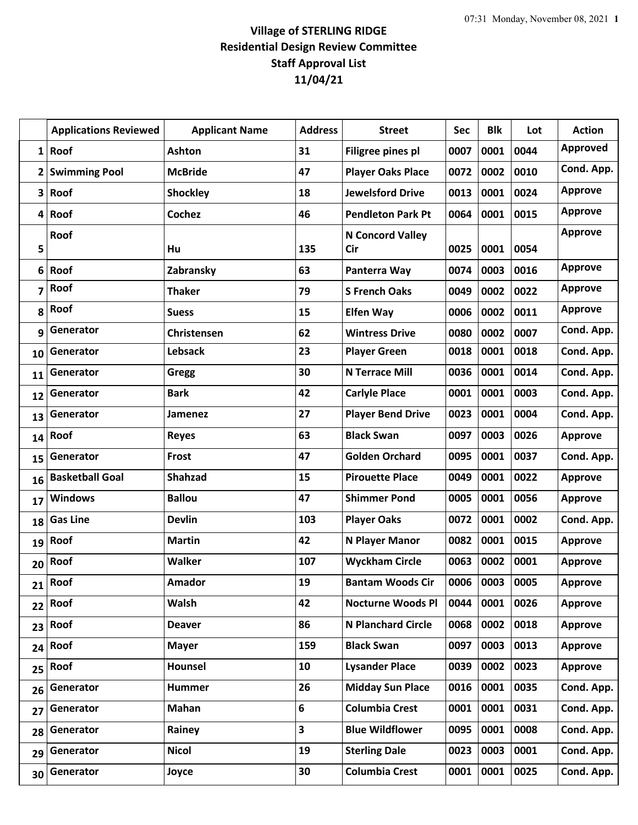## **Village of STERLING RIDGE Residential Design Review Committee Staff Approval List 11/04/21**

|              | <b>Applications Reviewed</b> | <b>Applicant Name</b> | <b>Address</b> | <b>Street</b>             | <b>Sec</b> | <b>Blk</b> | Lot  | <b>Action</b>  |
|--------------|------------------------------|-----------------------|----------------|---------------------------|------------|------------|------|----------------|
| $1\vert$     | Roof                         | <b>Ashton</b>         | 31             | Filigree pines pl         | 0007       | 0001       | 0044 | Approved       |
| $\mathbf{2}$ | <b>Swimming Pool</b>         | <b>McBride</b>        | 47             | <b>Player Oaks Place</b>  | 0072       | 0002       | 0010 | Cond. App.     |
| 3            | Roof                         | <b>Shockley</b>       | 18             | <b>Jewelsford Drive</b>   | 0013       | 0001       | 0024 | <b>Approve</b> |
| 4            | Roof                         | <b>Cochez</b>         | 46             | <b>Pendleton Park Pt</b>  | 0064       | 0001       | 0015 | <b>Approve</b> |
| 5            | Roof                         | Hu                    | 135            | N Concord Valley<br>Cir   | 0025       | 0001       | 0054 | <b>Approve</b> |
| 6            | Roof                         | Zabransky             | 63             | Panterra Way              | 0074       | 0003       | 0016 | <b>Approve</b> |
| 7            | Roof                         | <b>Thaker</b>         | 79             | <b>S French Oaks</b>      | 0049       | 0002       | 0022 | <b>Approve</b> |
| 8            | Roof                         | <b>Suess</b>          | 15             | <b>Elfen Way</b>          | 0006       | 0002       | 0011 | <b>Approve</b> |
| 9            | Generator                    | Christensen           | 62             | <b>Wintress Drive</b>     | 0080       | 0002       | 0007 | Cond. App.     |
| 10           | Generator                    | <b>Lebsack</b>        | 23             | <b>Player Green</b>       | 0018       | 0001       | 0018 | Cond. App.     |
| 11           | Generator                    | Gregg                 | 30             | <b>N Terrace Mill</b>     | 0036       | 0001       | 0014 | Cond. App.     |
| 12           | Generator                    | <b>Bark</b>           | 42             | <b>Carlyle Place</b>      | 0001       | 0001       | 0003 | Cond. App.     |
| 13           | Generator                    | Jamenez               | 27             | <b>Player Bend Drive</b>  | 0023       | 0001       | 0004 | Cond. App.     |
| 14           | Roof                         | <b>Reyes</b>          | 63             | <b>Black Swan</b>         | 0097       | 0003       | 0026 | <b>Approve</b> |
| 15           | Generator                    | Frost                 | 47             | <b>Golden Orchard</b>     | 0095       | 0001       | 0037 | Cond. App.     |
| 16           | <b>Basketball Goal</b>       | <b>Shahzad</b>        | 15             | <b>Pirouette Place</b>    | 0049       | 0001       | 0022 | <b>Approve</b> |
| 17           | <b>Windows</b>               | <b>Ballou</b>         | 47             | <b>Shimmer Pond</b>       | 0005       | 0001       | 0056 | <b>Approve</b> |
| 18           | <b>Gas Line</b>              | <b>Devlin</b>         | 103            | <b>Player Oaks</b>        | 0072       | 0001       | 0002 | Cond. App.     |
| 19           | Roof                         | <b>Martin</b>         | 42             | N Player Manor            | 0082       | 0001       | 0015 | <b>Approve</b> |
| 20           | Roof                         | <b>Walker</b>         | 107            | <b>Wyckham Circle</b>     | 0063       | 0002       | 0001 | <b>Approve</b> |
| 21           | Roof                         | Amador                | 19             | <b>Bantam Woods Cir</b>   | 0006       | 0003       | 0005 | <b>Approve</b> |
| 22           | Roof                         | Walsh                 | 42             | <b>Nocturne Woods Pl</b>  | 0044       | 0001       | 0026 | <b>Approve</b> |
| 23           | Roof                         | <b>Deaver</b>         | 86             | <b>N Planchard Circle</b> | 0068       | 0002       | 0018 | <b>Approve</b> |
| 24           | Roof                         | <b>Mayer</b>          | 159            | <b>Black Swan</b>         | 0097       | 0003       | 0013 | <b>Approve</b> |
| 25           | Roof                         | Hounsel               | 10             | <b>Lysander Place</b>     | 0039       | 0002       | 0023 | <b>Approve</b> |
| 26           | Generator                    | <b>Hummer</b>         | 26             | <b>Midday Sun Place</b>   | 0016       | 0001       | 0035 | Cond. App.     |
| 27           | Generator                    | Mahan                 | 6              | <b>Columbia Crest</b>     | 0001       | 0001       | 0031 | Cond. App.     |
| 28           | Generator                    | Rainey                | 3              | <b>Blue Wildflower</b>    | 0095       | 0001       | 0008 | Cond. App.     |
| 29           | Generator                    | <b>Nicol</b>          | 19             | <b>Sterling Dale</b>      | 0023       | 0003       | 0001 | Cond. App.     |
| 30           | Generator                    | Joyce                 | 30             | <b>Columbia Crest</b>     | 0001       | 0001       | 0025 | Cond. App.     |